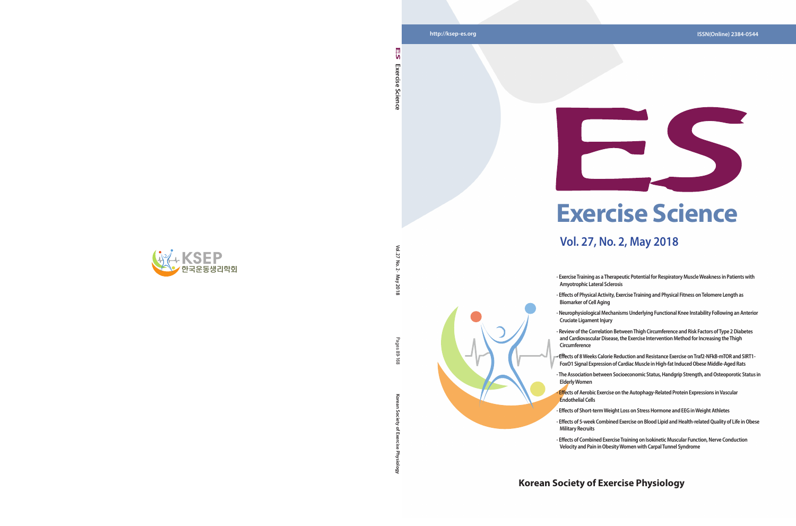**Vol. 27 No. 2 · May 2018**

May 2018

Pages 89  $\overline{8}$ 

Vol. 27  $\overline{5}$  $\sim$ 

**Korean Society of Exercise Physiology** Pages 89-168

Goi

ਨ

#### **Korean Society of Exercise Physiology**



**Exercise Science** 

Science

Exercise

n

# **Exercise Science**

### **Vol. 27, No. 2, May 2018**

**- Exercise Training as a Therapeutic Potential for Respiratory Muscle Weakness in Patients with** 

**- Effects of Physical Activity, Exercise Training and Physical Fitness on Telomere Length as** 

**- Neurophysiological Mechanisms Underlying Functional Knee Instability Following an Anterior** 

**- Review of the Correlation Between Thigh Circumference and Risk Factors of Type 2 Diabetes and Cardiovascular Disease, the Exercise Intervention Method for Increasing the Thigh** 



- **Amyotrophic Lateral Sclerosis**
- **Biomarker of Cell Aging**
- **Cruciate Ligament Injury**
- **Circumference**
- 
- **Elderly Women**
- **Endothelial Cells**
- **Military Recruits**
- 

**- Effects of 8 Weeks Calorie Reduction and Resistance Exercise on Traf2-NFkB-mTOR and SIRT1- FoxO1 Signal Expression of Cardiac Muscle in High-fat Induced Obese Middle-Aged Rats**

**- The Association between Socioeconomic Status, Handgrip Strength, and Osteoporotic Status in** 

**- Effects of Aerobic Exercise on the Autophagy-Related Protein Expressions in Vascular** 

**- Effects of Short-term Weight Loss on Stress Hormone and EEG in Weight Athletes** 

**- Effects of 5-week Combined Exercise on Blood Lipid and Health-related Quality of Life in Obese** 

**- Effects of Combined Exercise Training on Isokinetic Muscular Function, Nerve Conduction Velocity and Pain in Obesity Women with Carpal Tunnel Syndrome**